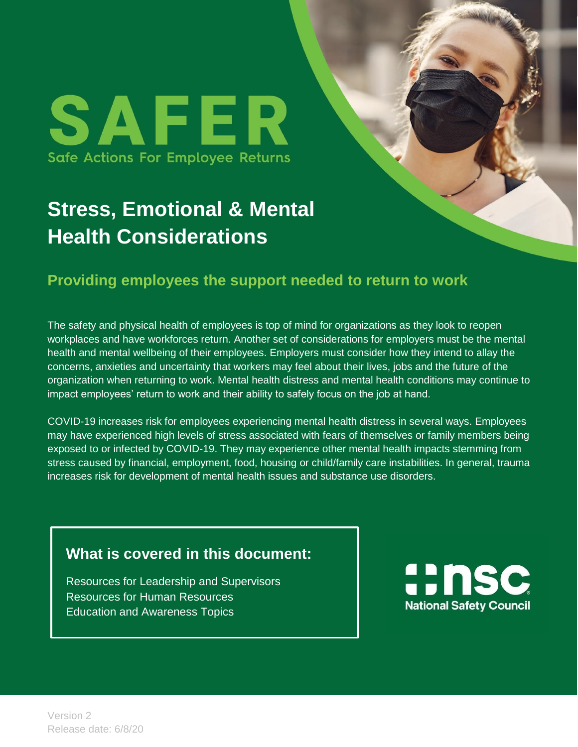## **Stress, Emotional & Mental Health Considerations**

## **Providing employees the support needed to return to work**

The safety and physical health of employees is top of mind for organizations as they look to reopen workplaces and have workforces return. Another set of considerations for employers must be the mental health and mental wellbeing of their employees. Employers must consider how they intend to allay the concerns, anxieties and uncertainty that workers may feel about their lives, jobs and the future of the organization when returning to work. Mental health distress and mental health conditions may continue to impact employees' return to work and their ability to safely focus on the job at hand.

COVID-19 increases risk for employees experiencing mental health distress in several ways. Employees may have experienced high levels of stress associated with fears of themselves or family members being exposed to or infected by COVID-19. They may experience other mental health impacts stemming from stress caused by financial, employment, food, housing or child/family care instabilities. In general, trauma increases risk for development of mental health issues and substance use disorders.

## **What is covered in this document:**

Resources for Leadership and Supervisors Resources for Human Resources Education and Awareness Topics

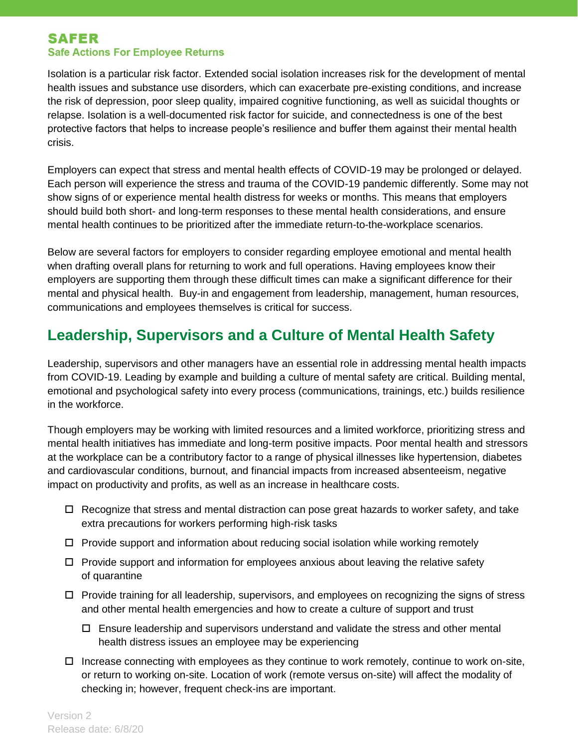Isolation is a particular risk factor. Extended social isolation increases risk for the development of mental health issues and substance use disorders, which can exacerbate pre-existing conditions, and increase the risk of depression, poor sleep quality, impaired cognitive functioning, as well as suicidal thoughts or relapse. Isolation is a well-documented risk factor for suicide, and connectedness is one of the best protective factors that helps to increase people's resilience and buffer them against their mental health crisis.

Employers can expect that stress and mental health effects of COVID-19 may be prolonged or delayed. Each person will experience the stress and trauma of the COVID-19 pandemic differently. Some may not show signs of or experience mental health distress for weeks or months. This means that employers should build both short- and long-term responses to these mental health considerations, and ensure mental health continues to be prioritized after the immediate return-to-the-workplace scenarios.

Below are several factors for employers to consider regarding employee emotional and mental health when drafting overall plans for returning to work and full operations. Having employees know their employers are supporting them through these difficult times can make a significant difference for their mental and physical health. Buy-in and engagement from leadership, management, human resources, communications and employees themselves is critical for success.

## **Leadership, Supervisors and a Culture of Mental Health Safety**

Leadership, supervisors and other managers have an essential role in addressing mental health impacts from COVID-19. Leading by example and building a culture of mental safety are critical. Building mental, emotional and psychological safety into every process (communications, trainings, etc.) builds resilience in the workforce.

Though employers may be working with limited resources and a limited workforce, prioritizing stress and mental health initiatives has immediate and long-term positive impacts. Poor mental health and stressors at the workplace can be a contributory factor to a range of physical illnesses like hypertension, diabetes and cardiovascular conditions, burnout, and financial impacts from increased absenteeism, negative impact on productivity and profits, as well as an increase in healthcare costs.

- $\Box$  Recognize that stress and mental distraction can pose great hazards to worker safety, and take extra precautions for workers performing high-risk tasks
- $\Box$  Provide support and information about reducing social isolation while working remotely
- $\Box$  Provide support and information for employees anxious about leaving the relative safety of quarantine
- $\Box$  Provide training for all leadership, supervisors, and employees on recognizing the signs of stress and other mental health emergencies and how to create a culture of support and trust
	- $\Box$  Ensure leadership and supervisors understand and validate the stress and other mental health distress issues an employee may be experiencing
- $\Box$  Increase connecting with employees as they continue to work remotely, continue to work on-site, or return to working on-site. Location of work (remote versus on-site) will affect the modality of checking in; however, frequent check-ins are important.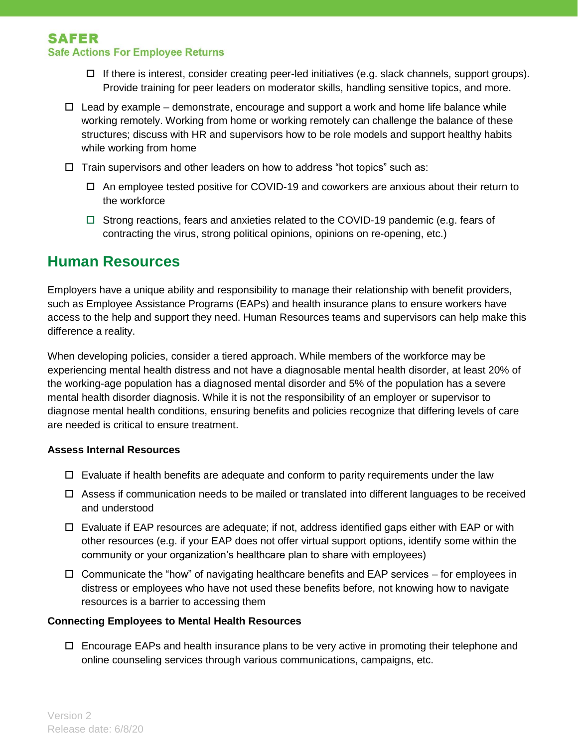- $\Box$  If there is interest, consider creating peer-led initiatives (e.g. slack channels, support groups). Provide training for peer leaders on moderator skills, handling sensitive topics, and more.
- $\Box$  Lead by example demonstrate, encourage and support a work and home life balance while working remotely. Working from home or working remotely can challenge the balance of these structures; discuss with HR and supervisors how to be role models and support healthy habits while working from home
- $\Box$  Train supervisors and other leaders on how to address "hot topics" such as:
	- An employee tested positive for COVID-19 and coworkers are anxious about their return to the workforce
	- $\Box$  Strong reactions, fears and anxieties related to the COVID-19 pandemic (e.g. fears of contracting the virus, strong political opinions, opinions on re-opening, etc.)

### **Human Resources**

Employers have a unique ability and responsibility to manage their relationship with benefit providers, such as Employee Assistance Programs (EAPs) and health insurance plans to ensure workers have access to the help and support they need. Human Resources teams and supervisors can help make this difference a reality.

When developing policies, consider a tiered approach. While members of the workforce may be experiencing mental health distress and not have a diagnosable mental health disorder, at least 20% of the working-age population has a diagnosed mental disorder and 5% of the population has a severe mental health disorder diagnosis. While it is not the responsibility of an employer or supervisor to diagnose mental health conditions, ensuring benefits and policies recognize that differing levels of care are needed is critical to ensure treatment.

#### **Assess Internal Resources**

- $\Box$  Evaluate if health benefits are adequate and conform to parity requirements under the law
- $\Box$  Assess if communication needs to be mailed or translated into different languages to be received and understood
- $\Box$  Evaluate if EAP resources are adequate; if not, address identified gaps either with EAP or with other resources (e.g. if your EAP does not offer virtual support options, identify some within the community or your organization's healthcare plan to share with employees)
- $\Box$  Communicate the "how" of navigating healthcare benefits and EAP services for employees in distress or employees who have not used these benefits before, not knowing how to navigate resources is a barrier to accessing them

#### **Connecting Employees to Mental Health Resources**

 $\Box$  Encourage EAPs and health insurance plans to be very active in promoting their telephone and online counseling services through various communications, campaigns, etc.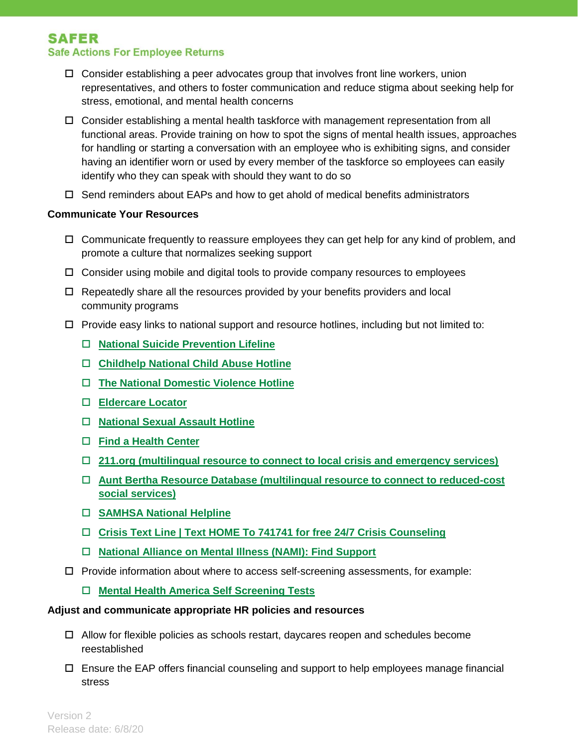- $\Box$  Consider establishing a peer advocates group that involves front line workers, union representatives, and others to foster communication and reduce stigma about seeking help for stress, emotional, and mental health concerns
- $\Box$  Consider establishing a mental health taskforce with management representation from all functional areas. Provide training on how to spot the signs of mental health issues, approaches for handling or starting a conversation with an employee who is exhibiting signs, and consider having an identifier worn or used by every member of the taskforce so employees can easily identify who they can speak with should they want to do so
- $\Box$  Send reminders about EAPs and how to get ahold of medical benefits administrators

#### **Communicate Your Resources**

- $\Box$  Communicate frequently to reassure employees they can get help for any kind of problem, and promote a culture that normalizes seeking support
- $\Box$  Consider using mobile and digital tools to provide company resources to employees
- $\Box$  Repeatedly share all the resources provided by your benefits providers and local community programs
- $\Box$  Provide easy links to national support and resource hotlines, including but not limited to:
	- **[National Suicide Prevention Lifeline](https://suicidepreventionlifeline.org/)**
	- **[Childhelp National Child Abuse Hotline](https://www.childhelp.org/hotline/)**
	- **[The National Domestic Violence Hotline](https://www.thehotline.org/help/)**
	- **[Eldercare Locator](https://eldercare.acl.gov/Public/Index.aspx)**
	- **[National Sexual Assault Hotline](https://hotline.rainn.org/online)**
	- **[Find a Health Center](https://findahealthcenter.hrsa.gov/)**
	- **[211.org](http://211.org/) (multilingual resource to connect to local crisis and emergency services)**
	- **[Aunt Bertha Resource Database \(](https://www.auntbertha.com/)multilingual resource to connect to reduced-cost social services)**
	- **[SAMHSA National Helpline](https://www.samhsa.gov/find-help/national-helpline)**
	- **[Crisis Text Line | Text HOME To 741741 for free 24/7 Crisis Counseling](https://www.crisistextline.org/)**
	- **[National Alliance on Mental Illness \(NAMI\): Find Support](https://nami.org/Support-Education)**
- $\Box$  Provide information about where to access self-screening assessments, for example:
	- **Mental Health America Self Screening Tests**

#### **Adjust and communicate appropriate HR policies and resources**

- $\Box$  Allow for flexible policies as schools restart, daycares reopen and schedules become reestablished
- Ensure the EAP offers financial counseling and support to help employees manage financial stress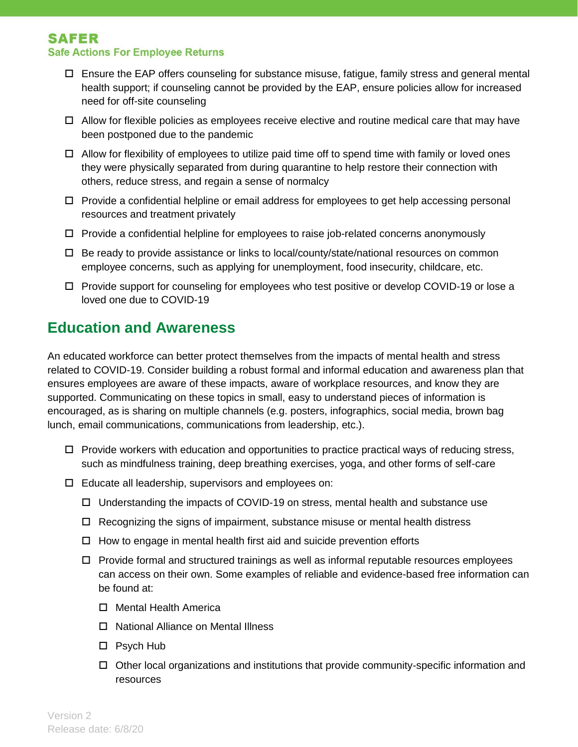- $\Box$  Ensure the EAP offers counseling for substance misuse, fatigue, family stress and general mental health support; if counseling cannot be provided by the EAP, ensure policies allow for increased need for off-site counseling
- $\Box$  Allow for flexible policies as employees receive elective and routine medical care that may have been postponed due to the pandemic
- $\Box$  Allow for flexibility of employees to utilize paid time off to spend time with family or loved ones they were physically separated from during quarantine to help restore their connection with others, reduce stress, and regain a sense of normalcy
- $\Box$  Provide a confidential helpline or email address for employees to get help accessing personal resources and treatment privately
- $\Box$  Provide a confidential helpline for employees to raise job-related concerns anonymously
- $\Box$  Be ready to provide assistance or links to local/county/state/national resources on common employee concerns, such as applying for unemployment, food insecurity, childcare, etc.
- $\Box$  Provide support for counseling for employees who test positive or develop COVID-19 or lose a loved one due to COVID-19

## **Education and Awareness**

An educated workforce can better protect themselves from the impacts of mental health and stress related to COVID-19. Consider building a robust formal and informal education and awareness plan that ensures employees are aware of these impacts, aware of workplace resources, and know they are supported. Communicating on these topics in small, easy to understand pieces of information is encouraged, as is sharing on multiple channels (e.g. posters, infographics, social media, brown bag lunch, email communications, communications from leadership, etc.).

- $\Box$  Provide workers with education and opportunities to practice practical ways of reducing stress, such as mindfulness training, deep breathing exercises, yoga, and other forms of self-care
- $\Box$  Educate all leadership, supervisors and employees on:
	- $\Box$  Understanding the impacts of COVID-19 on stress, mental health and substance use
	- $\Box$  Recognizing the signs of impairment, substance misuse or mental health distress
	- $\Box$  How to engage in mental health first aid and suicide prevention efforts
	- $\Box$  Provide formal and structured trainings as well as informal reputable resources employees can access on their own. Some examples of reliable and evidence-based free information can be found at:
		- □ [Mental Health America](https://mhanational.org/)
		- □ [National Alliance on Mental Illness](https://www.nami.org/Home)
		- □ [Psych Hub](https://psychhub.com/videos/)
		- $\Box$  Other local organizations and institutions that provide community-specific information and resources